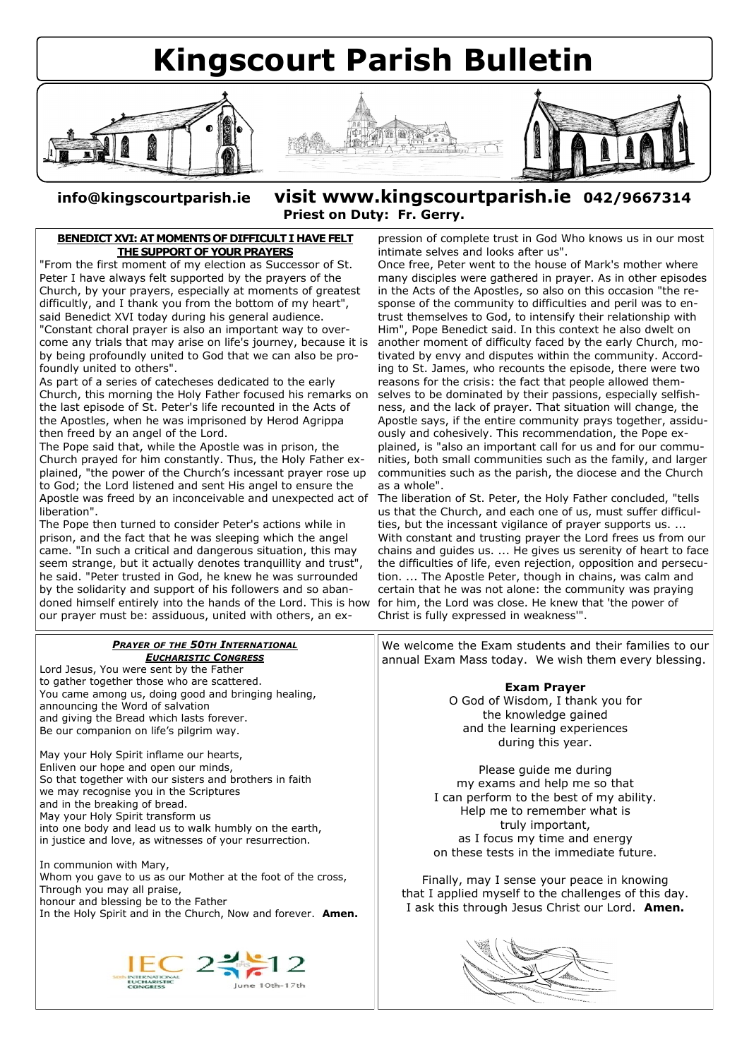

**info@kingscourtparish.ie visit www.kingscourtparish.ie 042/9667314 Priest on Duty: Fr. Gerry.**

## **BENEDICT XVI: AT MOMENTS OF DIFFICULT I HAVE FELT [THE SUPPORT OF YOUR PRAYERS](http://www.visnews-en.blogspot.com/2012/05/benedict-xvi-at-moments-of-difficult-i.html)**

"From the first moment of my election as Successor of St. Peter I have always felt supported by the prayers of the Church, by your prayers, especially at moments of greatest difficultly, and I thank you from the bottom of my heart", said Benedict XVI today during his general audience. "Constant choral prayer is also an important way to overcome any trials that may arise on life's journey, because it is by being profoundly united to God that we can also be profoundly united to others".

As part of a series of catecheses dedicated to the early Church, this morning the Holy Father focused his remarks on the last episode of St. Peter's life recounted in the Acts of the Apostles, when he was imprisoned by Herod Agrippa then freed by an angel of the Lord.

The Pope said that, while the Apostle was in prison, the Church prayed for him constantly. Thus, the Holy Father explained, "the power of the Church's incessant prayer rose up to God; the Lord listened and sent His angel to ensure the Apostle was freed by an inconceivable and unexpected act of liberation".

The Pope then turned to consider Peter's actions while in prison, and the fact that he was sleeping which the angel came. "In such a critical and dangerous situation, this may seem strange, but it actually denotes tranquillity and trust" he said. "Peter trusted in God, he knew he was surrounded by the solidarity and support of his followers and so abandoned himself entirely into the hands of the Lord. This is how our prayer must be: assiduous, united with others, an ex-

*PRAYER OF THE 50TH INTERNATIONAL*

pression of complete trust in God Who knows us in our most intimate selves and looks after us".

Once free, Peter went to the house of Mark's mother where many disciples were gathered in prayer. As in other episodes in the Acts of the Apostles, so also on this occasion "the response of the community to difficulties and peril was to entrust themselves to God, to intensify their relationship with Him", Pope Benedict said. In this context he also dwelt on another moment of difficulty faced by the early Church, motivated by envy and disputes within the community. According to St. James, who recounts the episode, there were two reasons for the crisis: the fact that people allowed themselves to be dominated by their passions, especially selfishness, and the lack of prayer. That situation will change, the Apostle says, if the entire community prays together, assiduously and cohesively. This recommendation, the Pope explained, is "also an important call for us and for our communities, both small communities such as the family, and larger communities such as the parish, the diocese and the Church as a whole".

The liberation of St. Peter, the Holy Father concluded, "tells us that the Church, and each one of us, must suffer difficulties, but the incessant vigilance of prayer supports us. ... With constant and trusting prayer the Lord frees us from our chains and guides us. ... He gives us serenity of heart to face the difficulties of life, even rejection, opposition and persecution. ... The Apostle Peter, though in chains, was calm and certain that he was not alone: the community was praying for him, the Lord was close. He knew that 'the power of Christ is fully expressed in weakness'".

We welcome the Exam students and their families to our annual Exam Mass today. We wish them every blessing.

## *EUCHARISTIC CONGRESS* Lord Jesus, You were sent by the Father to gather together those who are scattered. **Exam Prayer** You came among us, doing good and bringing healing, O God of Wisdom, I thank you for announcing the Word of salvation the knowledge gained and giving the Bread which lasts forever. and the learning experiences Be our companion on life's pilgrim way. during this year. May your Holy Spirit inflame our hearts, Enliven our hope and open our minds, Please guide me during So that together with our sisters and brothers in faith my exams and help me so that we may recognise you in the Scriptures I can perform to the best of my ability. and in the breaking of bread. Help me to remember what is May your Holy Spirit transform us truly important, into one body and lead us to walk humbly on the earth, as I focus my time and energy in justice and love, as witnesses of your resurrection. on these tests in the immediate future. In communion with Mary, Whom you gave to us as our Mother at the foot of the cross, Finally, may I sense your peace in knowing Through you may all praise, that I applied myself to the challenges of this day. honour and blessing be to the Father I ask this through Jesus Christ our Lord. **Amen.** In the Holy Spirit and in the Church, Now and forever. **Amen.**  $\text{IEC}_{\text{intraance}}$  2  $\text{I2}_{\text{line 10th-17th}}$